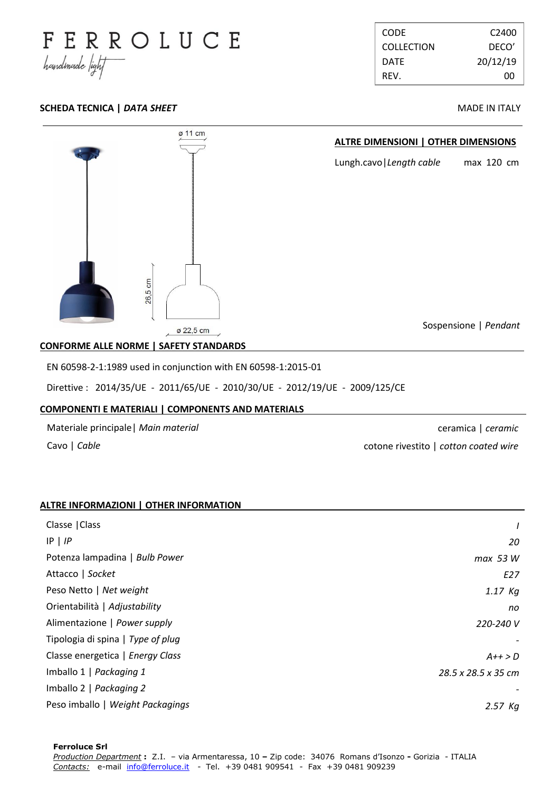

CODE C2400 COLLECTION DECO' DATE 20/12/19 REV. 00

# **SCHEDA TECNICA |** *DATA SHEET* **MADE IN ITALY**



# **CONFORME ALLE NORME | SAFETY STANDARDS .**

EN 60598-2-1:1989 used in conjunction with EN 60598-1:2015-01

Direttive : 2014/35/UE - 2011/65/UE - 2010/30/UE - 2012/19/UE - 2009/125/CE

### **COMPONENTI E MATERIALI | COMPONENTS AND MATERIALS .**

Materiale principale| *Main material*

Cavo | *Cable*

ceramica | *ceramic* cotone rivestito | *cotton coated wire*

# **ALTRE INFORMAZIONI | OTHER INFORMATION .**

| Classe   Class                    |                     |
|-----------------------------------|---------------------|
| $IP \mid IP$                      | 20                  |
| Potenza lampadina   Bulb Power    | max 53 W            |
| Attacco   Socket                  | E27                 |
| Peso Netto   Net weight           | $1.17$ Kg           |
| Orientabilità   Adjustability     | no                  |
| Alimentazione   Power supply      | 220-240 V           |
| Tipologia di spina   Type of plug |                     |
| Classe energetica   Energy Class  | $A++>D$             |
| Imballo 1   Packaging 1           | 28.5 x 28.5 x 35 cm |
| Imballo 2   Packaging 2           |                     |
| Peso imballo   Weight Packagings  | $2.57$ Kq           |